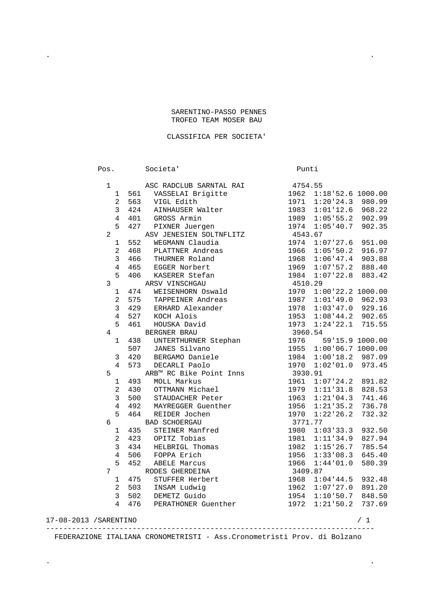## SARENTINO-PASSO PENNES TROFEO TEAM MOSER BAU

. .

## CLASSIFICA PER SOCIETA'

Pos. Societa' Punti 1 650 ASC RADCLUB SARNTAL RAI 4754.55<br>1 561 VASSELAI Brigitte 1962 1:18'52.6 1000.00 1 561 VASSELAI Brigitte<br>2 563 VIGL Edith 2 563 VIGL Edith 1971 1:20'24.3 980.99 3 424 AINHAUSER Walter 1983 1:01'12.6 968.22 4 401 GROSS Armin 1989 1:05'55.2 902.99 5 427 PIXNER Juergen 1974 1:05'40.7 902.35 2 ASV JENESIEN SOLTNFLITZ 4543.67 1 552 WEGMANN Claudia 1974 1:07'27.6 951.00 2 468 PLATTNER Andreas 1966 1:05'50.2 916.97 3 466 THURNER Roland 1968 1:06'47.4 903.88 4 465 EGGER Norbert 1969 1:07'57.2 888.40 5 406 KASERER Stefan 1984 1:07'22.8 883.42 3 ARSV VINSCHGAU 4510.29 1 474 WEISENHORN Oswald 2 575 TAPPEINER Andreas 1987 1:01'49.0 962.93 3 429 ERHARD Alexander 1978 1:03'47.0 929.16 4 527 KOCH Alois 1953 1:08'44.2 902.65 5 461 HOUSKA David 1973 1:24'22.1 715.55 4 BERGNER BRAU 3960.54 1 438 UNTERTHURNER Stephan 1976 59'15.9 1000.00 507 JANES Silvano 1955 1:00'06.7 1000.00 3 420 BERGAMO Daniele 1984 1:00'18.2 987.09 4 573 DECARLI Paolo 1970 1:02'01.0 973.45<br>ARB™ RC Bike Point Inns 3930.91 5 ARB™ RC Bike Point Inns 3930.91<br>1 493 MOLL Markus 1961 1:07'24.2 891.82 1 493 MOLL Markus<br>2 430 OTTMANN Michael 2 430 OTTMANN Michael 1979 1:11'31.8 828.53 1963 1:21'04.3 741.46<br>1956 1:21'35.2 736.78 4 492 MAYREGGER Guenther 1956 1:21'35.2 736.78<br>5 464 REIDER Jochen 1970 1:22'26.2 732.32 5 464 REIDER Jochen 6 BAD SCHOERGAU 3771.77 1 435 STEINER Manfred 1980 1:03'33.3 932.50 2 423 OPITZ Tobias 1981 1:11'34.9 827.94 3 434 HELBRIGL Thomas 1982 1:15'26.7 785.54 4 506 FOPPA Erich 1956 1:33'08.3 645.40 5 452 ABELE Marcus 1966 1:44'01.0 580.39 RODES GHERDEINA 3409.87 1 475 STUFFER Herbert 1968 1:04'44.5 932.48<br>2 503 INSAM Ludwig 1962 1:07'27.0 891.20 2 503 INSAM Ludwig 3 502 DEMETZ Guido 1954 1:10'50.7 848.50 4 476 PERATHONER Guenther 17-08-2013 /SARENTINO / 1 ----------------------------------------------------------------------------

FEDERAZIONE ITALIANA CRONOMETRISTI - Ass.Cronometristi Prov. di Bolzano

. .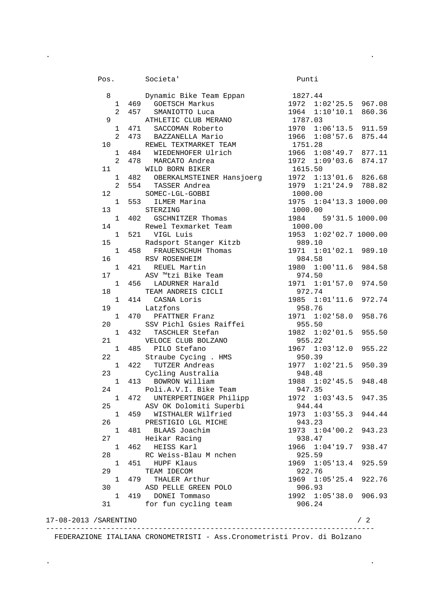Pos. Societa' Punti 8 Dynamic Bike Team Eppan 1827.44 1 469 GOETSCH Markus<br>2 457 SMANIOTTO Luca  $1827.44$ <br>1972 1:02'25.5 967.08<br>1964 1:10'10.1 860.36 9 ATHLETIC CLUB MERANO<br>1 471 SACCOMAN Roberto 1 471 SACCOMAN Roberto 1970 1:06'13.5 911.59 2 473 BAZZANELLA Mario 1966 1:08'57.6 875.44 10 REWEL TEXTMARKET TEAM 1 1 484 WIEDENHOFER Ulrich 1966 1:08'49.7 877.11<br>2 478 MARCATO Andrea 1972 1:09'03.6 874.17 2 478 MARCATO Andrea 1972 1:<br>WILD BORN BIKER 1615.50 11 WILD BORN BIKER 1 482 OBERKALMSTEINER Hansjoerg 1972 1:13'01.6 826.68<br>2 554 TASSER Andrea 1979 1:21'24.9 788.82 2 554 TASSER Andrea 12 SOMEC-LGL-GOBBI 1000.00<br>1975 1:04'13.3 1000.00 1 553 ILMER Marina 13 STERZING 1000.00<br>1 402 GSCHNITZER Thomas 1984 5 1 402 59'31.5 1000.00 14 Rewel Texmarket Team 1000.00<br>1953 1: 1953 1: 1953 1:02'02.7 1000.00 15 Radsport Stanger Kitzb 989.10 1 458 FRAUENSCHUH Thomas 1971 1:01'02.1 989.10 1971 1:01'02.1 989.10<br>16 RSV ROSENHEIM 984.58<br>1971 1:01'02.1 989.10<br>1980 1:00'11.6 984.58 1 1 421 REUEL Martin 1980 1:0<br>1980 1:00 asy ™tzi Bike Team 1980 974.50 17 ASV ™tzi Bike Team<br>1 456 LADURNER Harald ںت ـ +/ و<br>1971 - 1:01'57.0 974.50 18 TEAM ANDREIS CICLI 972.74 1 414 CASNA Loris 1985 1:01'11.6 972.74 19 Latzfons Latzfons 1958.76<br>1971 1:02'58.0 958.76 1 470 PFATTNER Franz 20 SSV Pichl Gsies Raiffei 955.50 1 432 TASCHLER Stefan 1982 1:02'01.5 955.50 20 SSV PICHL USIES NOLLER<br>
1 432 TASCHLER Stefan 1982 1:02'01.5 955.50<br>
21 VELOCE CLUB BOLZANO 955.22<br>
1 485 PILO Stefano 1967 1:03'12.0 955.22 1 485 PILO Stefano 1967 1:03'12.0 955.22<br>2 Straube Cycing . HMS 950.39<br>1 422 TUTZER Andreas 1977 1:02'21.5 950.39<br>948.48 22 Straube Cycing . HMS 1 422 TUTZER Andreas 23 Cycling Australia 1948.48<br>1988 1:02'45.5 948.48<br>1988 1:02'45.5 948.48 1 413 BOWRON William 1988 1:02'45.5 948.48 24 Poli.A.V.I. Bike Team 947.35 1 472 UNTERPERTINGER Philipp 1972 1:03'43.5 947.35 25 ASV OK Dolomiti Superbi 944.44 1 459 WISTHALER Wilfried 1973 1:03'55.3 944.44 26 PRESTIGIO LGL MICHE 943.23 1 481 BLAAS Joachim 1973 1:04'00.2 943.23 27 Heikar Racing 938.47 1 462 HEISS Karl 1966 1:04'19.7 938.47 28 RC Weiss-Blau Mnchen 925.59 1 451 HUPF Klaus 1969 1:05'13.4 925.59 29 TEAM IDECOM 922.76 1 479 THALER Arthur 1969 1:05'25.4 922.76 30 ASD PELLE GREEN POLO 906.93<br>1 419 DONEI Tommaso 1992 1:05'38.0 906.93 1 419 DONEI Tommaso 31 for fun cycling team 906.24

. .

 17-08-2013 /SARENTINO / 2 ----------------------------------------------------------------------------

FEDERAZIONE ITALIANA CRONOMETRISTI - Ass.Cronometristi Prov. di Bolzano

. .